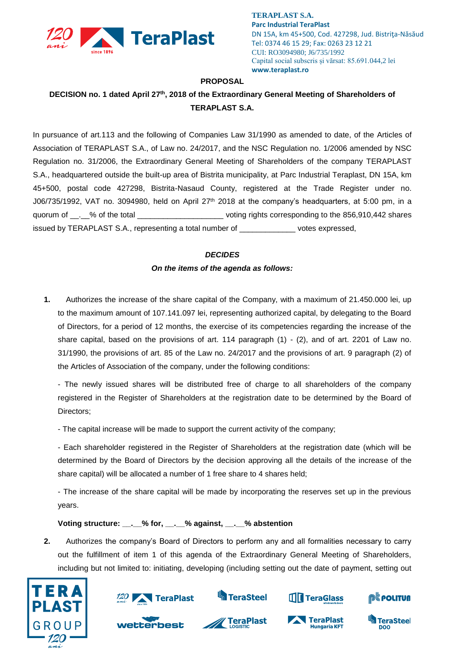

**TERAPLAST S.A. Parc Industrial TeraPlast** DN 15A, km 45+500, Cod. 427298, Jud. Bistriţa-Năsăud Tel: 0374 46 15 29; Fax: 0263 23 12 21 CUI: RO3094980; J6/735/1992 Capital social subscris și vărsat: 85.691.044,2 lei **www.teraplast.ro**

### **PROPOSAL**

# **DECISION no. 1 dated April 27th , 2018 of the Extraordinary General Meeting of Shareholders of TERAPLAST S.A.**

In pursuance of art.113 and the following of Companies Law 31/1990 as amended to date, of the Articles of Association of TERAPLAST S.A., of Law no. 24/2017, and the NSC Regulation no. 1/2006 amended by NSC Regulation no. 31/2006, the Extraordinary General Meeting of Shareholders of the company TERAPLAST S.A., headquartered outside the built-up area of Bistrita municipality, at Parc Industrial Teraplast, DN 15A, km 45+500, postal code 427298, Bistrita-Nasaud County, registered at the Trade Register under no. J06/735/1992, VAT no. 3094980, held on April 27<sup>th</sup> 2018 at the company's headquarters, at 5:00 pm, in a quorum of \_\_.\_% of the total \_\_\_\_\_\_\_\_\_\_\_\_\_\_\_\_\_\_\_\_\_\_\_\_\_\_\_ voting rights corresponding to the 856,910,442 shares issued by TERAPLAST S.A., representing a total number of \_\_\_\_\_\_\_\_\_\_\_\_\_ votes expressed,

### *DECIDES*

## *On the items of the agenda as follows:*

**1.** Authorizes the increase of the share capital of the Company, with a maximum of 21.450.000 lei, up to the maximum amount of 107.141.097 lei, representing authorized capital, by delegating to the Board of Directors, for a period of 12 months, the exercise of its competencies regarding the increase of the share capital, based on the provisions of art. 114 paragraph  $(1)$  -  $(2)$ , and of art. 2201 of Law no. 31/1990, the provisions of art. 85 of the Law no. 24/2017 and the provisions of art. 9 paragraph (2) of the Articles of Association of the company, under the following conditions:

- The newly issued shares will be distributed free of charge to all shareholders of the company registered in the Register of Shareholders at the registration date to be determined by the Board of Directors;

- The capital increase will be made to support the current activity of the company;

- Each shareholder registered in the Register of Shareholders at the registration date (which will be determined by the Board of Directors by the decision approving all the details of the increase of the share capital) will be allocated a number of 1 free share to 4 shares held;

- The increase of the share capital will be made by incorporating the reserves set up in the previous years.

**Voting structure: \_\_.\_\_% for, \_\_.\_\_% against, \_\_.\_\_% abstention**

**2.** Authorizes the company's Board of Directors to perform any and all formalities necessary to carry out the fulfillment of item 1 of this agenda of the Extraordinary General Meeting of Shareholders, including but not limited to: initiating, developing (including setting out the date of payment, setting out







**Hungaria KFT** 

@Ë POLITUA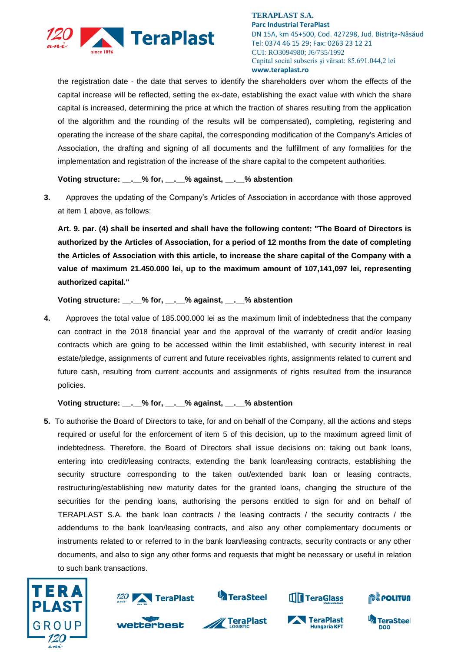

**TERAPLAST S.A. Parc Industrial TeraPlast** DN 15A, km 45+500, Cod. 427298, Jud. Bistriţa-Năsăud Tel: 0374 46 15 29; Fax: 0263 23 12 21 CUI: RO3094980; J6/735/1992 Capital social subscris și vărsat: 85.691.044,2 lei **www.teraplast.ro**

the registration date - the date that serves to identify the shareholders over whom the effects of the capital increase will be reflected, setting the ex-date, establishing the exact value with which the share capital is increased, determining the price at which the fraction of shares resulting from the application of the algorithm and the rounding of the results will be compensated), completing, registering and operating the increase of the share capital, the corresponding modification of the Company's Articles of Association, the drafting and signing of all documents and the fulfillment of any formalities for the implementation and registration of the increase of the share capital to the competent authorities.

**Voting structure: \_\_.\_\_% for, \_\_.\_\_% against, \_\_.\_\_% abstention**

**3.** Approves the updating of the Company's Articles of Association in accordance with those approved at item 1 above, as follows:

**Art. 9. par. (4) shall be inserted and shall have the following content: "The Board of Directors is authorized by the Articles of Association, for a period of 12 months from the date of completing the Articles of Association with this article, to increase the share capital of the Company with a value of maximum 21.450.000 lei, up to the maximum amount of 107,141,097 lei, representing authorized capital."**

**Voting structure: \_\_.\_\_% for, \_\_.\_\_% against, \_\_.\_\_% abstention**

**4.** Approves the total value of 185.000.000 lei as the maximum limit of indebtedness that the company can contract in the 2018 financial year and the approval of the warranty of credit and/or leasing contracts which are going to be accessed within the limit established, with security interest in real estate/pledge, assignments of current and future receivables rights, assignments related to current and future cash, resulting from current accounts and assignments of rights resulted from the insurance policies.

### **Voting structure: \_\_.\_\_% for, \_\_.\_\_% against, \_\_.\_\_% abstention**

**5.** To authorise the Board of Directors to take, for and on behalf of the Company, all the actions and steps required or useful for the enforcement of item 5 of this decision, up to the maximum agreed limit of indebtedness. Therefore, the Board of Directors shall issue decisions on: taking out bank loans, entering into credit/leasing contracts, extending the bank loan/leasing contracts, establishing the security structure corresponding to the taken out/extended bank loan or leasing contracts, restructuring/establishing new maturity dates for the granted loans, changing the structure of the securities for the pending loans, authorising the persons entitled to sign for and on behalf of TERAPLAST S.A. the bank loan contracts / the leasing contracts / the security contracts / the addendums to the bank loan/leasing contracts, and also any other complementary documents or instruments related to or referred to in the bank loan/leasing contracts, security contracts or any other documents, and also to sign any other forms and requests that might be necessary or useful in relation to such bank transactions.





wetterbest



**TeraPlast** 



**TeraPlast** 

**Hungaria KFT**